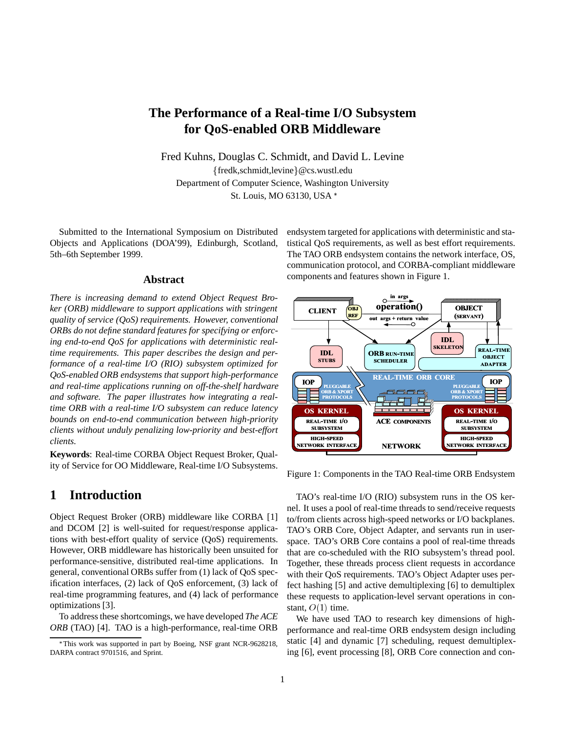# **The Performance of a Real-time I/O Subsystem for QoS-enabled ORB Middleware**

Fred Kuhns, Douglas C. Schmidt, and David L. Levine  ${fredk, schmidt, levine} @cs.wust.$ edu Department of Computer Science, Washington University St. Louis, MO 63130, USA

Submitted to the International Symposium on Distributed Objects and Applications (DOA'99), Edinburgh, Scotland, 5th–6th September 1999.

#### **Abstract**

*There is increasing demand to extend Object Request Broker (ORB) middleware to support applications with stringent quality of service (QoS) requirements. However, conventional ORBs do not define standard features for specifying or enforcing end-to-end QoS for applications with deterministic realtime requirements. This paper describes the design and performance of a real-time I/O (RIO) subsystem optimized for QoS-enabled ORB endsystems that support high-performance and real-time applications running on off-the-shelf hardware and software. The paper illustrates how integrating a realtime ORB with a real-time I/O subsystem can reduce latency bounds on end-to-end communication between high-priority clients without unduly penalizing low-priority and best-effort clients.*

**Keywords**: Real-time CORBA Object Request Broker, Quality of Service for OO Middleware, Real-time I/O Subsystems.

## **1 Introduction**

Object Request Broker (ORB) middleware like CORBA [1] and DCOM [2] is well-suited for request/response applications with best-effort quality of service (QoS) requirements. However, ORB middleware has historically been unsuited for performance-sensitive, distributed real-time applications. In general, conventional ORBs suffer from (1) lack of QoS specification interfaces, (2) lack of QoS enforcement, (3) lack of real-time programming features, and (4) lack of performance optimizations [3].

To address these shortcomings, we have developed *The ACE ORB* (TAO) [4]. TAO is a high-performance, real-time ORB endsystem targeted for applications with deterministic and statistical QoS requirements, as well as best effort requirements. The TAO ORB endsystem contains the network interface, OS, communication protocol, and CORBA-compliant middleware components and features shown in Figure 1.



Figure 1: Components in the TAO Real-time ORB Endsystem

TAO's real-time I/O (RIO) subsystem runs in the OS kernel. It uses a pool of real-time threads to send/receive requests to/from clients across high-speed networks or I/O backplanes. TAO's ORB Core, Object Adapter, and servants run in userspace. TAO's ORB Core contains a pool of real-time threads that are co-scheduled with the RIO subsystem's thread pool. Together, these threads process client requests in accordance with their QoS requirements. TAO's Object Adapter uses perfect hashing [5] and active demultiplexing [6] to demultiplex these requests to application-level servant operations in constant,  $O(1)$  time.

We have used TAO to research key dimensions of highperformance and real-time ORB endsystem design including static [4] and dynamic [7] scheduling, request demultiplexing [6], event processing [8], ORB Core connection and con-

This work was supported in part by Boeing, NSF grant NCR-9628218, DARPA contract 9701516, and Sprint.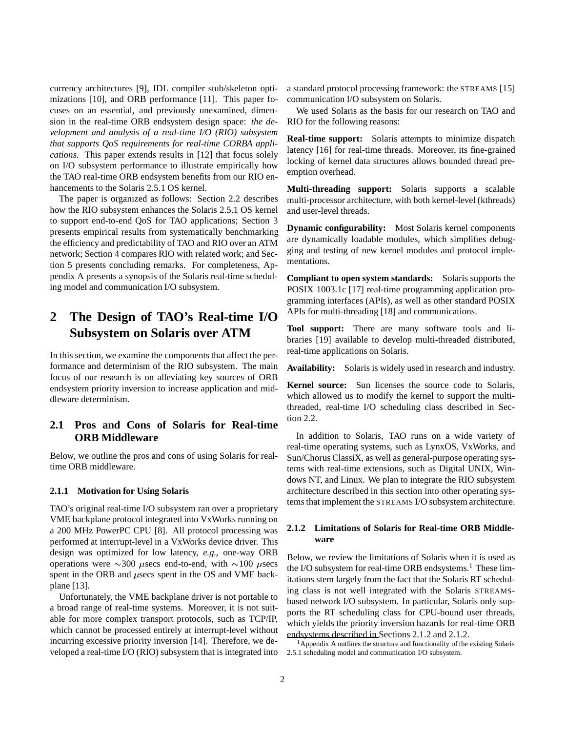currency architectures [9], IDL compiler stub/skeleton optimizations [10], and ORB performance [11]. This paper focuses on an essential, and previously unexamined, dimension in the real-time ORB endsystem design space: *the development and analysis of a real-time I/O (RIO) subsystem that supports QoS requirements for real-time CORBA applications.* This paper extends results in [12] that focus solely on I/O subsystem performance to illustrate empirically how the TAO real-time ORB endsystem benefits from our RIO enhancements to the Solaris 2.5.1 OS kernel.

The paper is organized as follows: Section 2.2 describes how the RIO subsystem enhances the Solaris 2.5.1 OS kernel to support end-to-end QoS for TAO applications; Section 3 presents empirical results from systematically benchmarking the efficiency and predictability of TAO and RIO over an ATM network; Section 4 compares RIO with related work; and Section 5 presents concluding remarks. For completeness, Appendix A presents a synopsis of the Solaris real-time scheduling model and communication I/O subsystem.

# **2 The Design of TAO's Real-time I/O Subsystem on Solaris over ATM**

In this section, we examine the components that affect the performance and determinism of the RIO subsystem. The main focus of our research is on alleviating key sources of ORB endsystem priority inversion to increase application and middleware determinism.

### **2.1 Pros and Cons of Solaris for Real-time ORB Middleware**

Below, we outline the pros and cons of using Solaris for realtime ORB middleware.

#### **2.1.1 Motivation for Using Solaris**

TAO's original real-time I/O subsystem ran over a proprietary VME backplane protocol integrated into VxWorks running on a 200 MHz PowerPC CPU [8]. All protocol processing was performed at interrupt-level in a VxWorks device driver. This design was optimized for low latency, *e.g.*, one-way ORB operations were  $\sim$ 300  $\mu$ secs end-to-end, with  $\sim$ 100  $\mu$ secs spent in the ORB and  $\mu$ secs spent in the OS and VME backplane [13].

Unfortunately, the VME backplane driver is not portable to a broad range of real-time systems. Moreover, it is not suitable for more complex transport protocols, such as TCP/IP, which cannot be processed entirely at interrupt-level without incurring excessive priority inversion [14]. Therefore, we developed a real-time I/O (RIO) subsystem that is integrated into a standard protocol processing framework: the STREAMS [15] communication I/O subsystem on Solaris.

We used Solaris as the basis for our research on TAO and RIO for the following reasons:

**Real-time support:** Solaris attempts to minimize dispatch latency [16] for real-time threads. Moreover, its fine-grained locking of kernel data structures allows bounded thread preemption overhead.

**Multi-threading support:** Solaris supports a scalable multi-processor architecture, with both kernel-level (kthreads) and user-level threads.

**Dynamic configurability:** Most Solaris kernel components are dynamically loadable modules, which simplifies debugging and testing of new kernel modules and protocol implementations.

**Compliant to open system standards:** Solaris supports the POSIX 1003.1c [17] real-time programming application programming interfaces (APIs), as well as other standard POSIX APIs for multi-threading [18] and communications.

**Tool support:** There are many software tools and libraries [19] available to develop multi-threaded distributed, real-time applications on Solaris.

**Availability:** Solaris is widely used in research and industry.

**Kernel source:** Sun licenses the source code to Solaris, which allowed us to modify the kernel to support the multithreaded, real-time I/O scheduling class described in Section 2.2.

In addition to Solaris, TAO runs on a wide variety of real-time operating systems, such as LynxOS, VxWorks, and Sun/Chorus ClassiX, as well as general-purpose operating systems with real-time extensions, such as Digital UNIX, Windows NT, and Linux. We plan to integrate the RIO subsystem architecture described in this section into other operating systems that implement the STREAMS I/O subsystem architecture.

### **2.1.2 Limitations of Solaris for Real-time ORB Middleware**

Below, we review the limitations of Solaris when it is used as the I/O subsystem for real-time ORB endsystems.<sup>1</sup> These limitations stem largely from the fact that the Solaris RT scheduling class is not well integrated with the Solaris STREAMSbased network I/O subsystem. In particular, Solaris only supports the RT scheduling class for CPU-bound user threads, which yields the priority inversion hazards for real-time ORB endsystems described in Sections 2.1.2 and 2.1.2.<br><sup>1</sup>Appendix A outlines the structure and functionality of the existing Solaris

2.5.1 scheduling model and communication I/O subsystem.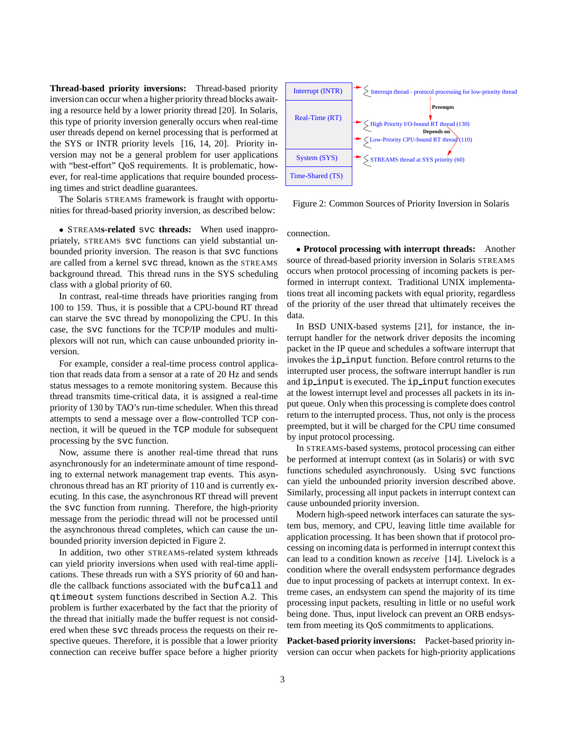**Thread-based priority inversions:** Thread-based priority inversion can occur when a higher priority thread blocks awaiting a resource held by a lower priority thread [20]. In Solaris, this type of priority inversion generally occurs when real-time user threads depend on kernel processing that is performed at the SYS or INTR priority levels [16, 14, 20]. Priority inversion may not be a general problem for user applications with "best-effort" OoS requirements. It is problematic, however, for real-time applications that require bounded processing times and strict deadline guarantees.

The Solaris STREAMS framework is fraught with opportunities for thread-based priority inversion, as described below:

 STREAM**s-related** svc **threads:** When used inappropriately, STREAMS svc functions can yield substantial unbounded priority inversion. The reason is that svc functions are called from a kernel svc thread, known as the STREAMS background thread. This thread runs in the SYS scheduling class with a global priority of 60.

In contrast, real-time threads have priorities ranging from 100 to 159. Thus, it is possible that a CPU-bound RT thread can starve the svc thread by monopolizing the CPU. In this case, the svc functions for the TCP/IP modules and multiplexors will not run, which can cause unbounded priority inversion.

For example, consider a real-time process control application that reads data from a sensor at a rate of 20 Hz and sends status messages to a remote monitoring system. Because this thread transmits time-critical data, it is assigned a real-time priority of 130 by TAO's run-time scheduler. When this thread attempts to send a message over a flow-controlled TCP connection, it will be queued in the TCP module for subsequent processing by the svc function.

Now, assume there is another real-time thread that runs asynchronously for an indeterminate amount of time responding to external network management trap events. This asynchronous thread has an RT priority of 110 and is currently executing. In this case, the asynchronous RT thread will prevent the svc function from running. Therefore, the high-priority message from the periodic thread will not be processed until the asynchronous thread completes, which can cause the unbounded priority inversion depicted in Figure 2.

In addition, two other STREAMS-related system kthreads can yield priority inversions when used with real-time applications. These threads run with a SYS priority of 60 and handle the callback functions associated with the bufcall and qtimeout system functions described in Section A.2. This problem is further exacerbated by the fact that the priority of the thread that initially made the buffer request is not considered when these svc threads process the requests on their respective queues. Therefore, it is possible that a lower priority connection can receive buffer space before a higher priority



Figure 2: Common Sources of Priority Inversion in Solaris

connection.

 **Protocol processing with interrupt threads:** Another source of thread-based priority inversion in Solaris STREAMS occurs when protocol processing of incoming packets is performed in interrupt context. Traditional UNIX implementations treat all incoming packets with equal priority, regardless of the priority of the user thread that ultimately receives the data.

In BSD UNIX-based systems [21], for instance, the interrupt handler for the network driver deposits the incoming packet in the IP queue and schedules a software interrupt that invokes the ip input function. Before control returns to the interrupted user process, the software interrupt handler is run and ip input is executed. The ip input function executes at the lowest interrupt level and processes all packets in its input queue. Only when this processing is complete does control return to the interrupted process. Thus, not only is the process preempted, but it will be charged for the CPU time consumed by input protocol processing.

In STREAMS-based systems, protocol processing can either be performed at interrupt context (as in Solaris) or with svc functions scheduled asynchronously. Using svc functions can yield the unbounded priority inversion described above. Similarly, processing all input packets in interrupt context can cause unbounded priority inversion.

Modern high-speed network interfaces can saturate the system bus, memory, and CPU, leaving little time available for application processing. It has been shown that if protocol processing on incoming data is performed in interrupt context this can lead to a condition known as *receive* [14]. Livelock is a condition where the overall endsystem performance degrades due to input processing of packets at interrupt context. In extreme cases, an endsystem can spend the majority of its time processing input packets, resulting in little or no useful work being done. Thus, input livelock can prevent an ORB endsystem from meeting its QoS commitments to applications.

**Packet-based priority inversions:** Packet-based priority inversion can occur when packets for high-priority applications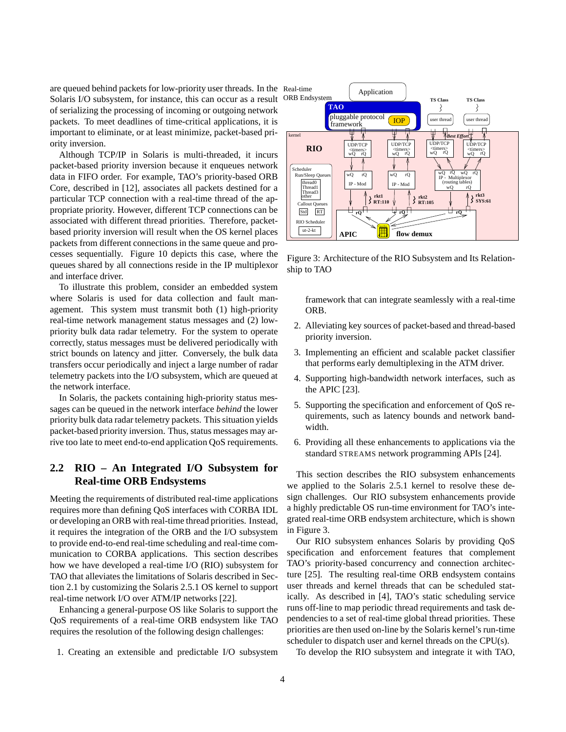are queued behind packets for low-priority user threads. In the Real-time Solaris I/O subsystem, for instance, this can occur as a result of serializing the processing of incoming or outgoing network packets. To meet deadlines of time-critical applications, it is important to eliminate, or at least minimize, packet-based priority inversion.

Although TCP/IP in Solaris is multi-threaded, it incurs packet-based priority inversion because it enqueues network data in FIFO order. For example, TAO's priority-based ORB Core, described in [12], associates all packets destined for a particular TCP connection with a real-time thread of the appropriate priority. However, different TCP connections can be associated with different thread priorities. Therefore, packetbased priority inversion will result when the OS kernel places packets from different connections in the same queue and processes sequentially. Figure 10 depicts this case, where the queues shared by all connections reside in the IP multiplexor and interface driver.

To illustrate this problem, consider an embedded system where Solaris is used for data collection and fault management. This system must transmit both (1) high-priority real-time network management status messages and (2) lowpriority bulk data radar telemetry. For the system to operate correctly, status messages must be delivered periodically with strict bounds on latency and jitter. Conversely, the bulk data transfers occur periodically and inject a large number of radar telemetry packets into the I/O subsystem, which are queued at the network interface.

In Solaris, the packets containing high-priority status messages can be queued in the network interface *behind* the lower priority bulk data radar telemetry packets. This situation yields packet-based priority inversion. Thus, status messages may arrive too late to meet end-to-end application QoS requirements.

### **2.2 RIO – An Integrated I/O Subsystem for Real-time ORB Endsystems**

Meeting the requirements of distributed real-time applications requires more than defining QoS interfaces with CORBA IDL or developing an ORB with real-time thread priorities. Instead, it requires the integration of the ORB and the I/O subsystem to provide end-to-end real-time scheduling and real-time communication to CORBA applications. This section describes how we have developed a real-time I/O (RIO) subsystem for TAO that alleviates the limitations of Solaris described in Section 2.1 by customizing the Solaris 2.5.1 OS kernel to support real-time network I/O over ATM/IP networks [22].

Enhancing a general-purpose OS like Solaris to support the QoS requirements of a real-time ORB endsystem like TAO requires the resolution of the following design challenges:

1. Creating an extensible and predictable I/O subsystem



Figure 3: Architecture of the RIO Subsystem and Its Relationship to TAO

framework that can integrate seamlessly with a real-time ORB.

- 2. Alleviating key sources of packet-based and thread-based priority inversion.
- 3. Implementing an efficient and scalable packet classifier that performs early demultiplexing in the ATM driver.
- 4. Supporting high-bandwidth network interfaces, such as the APIC [23].
- 5. Supporting the specification and enforcement of QoS requirements, such as latency bounds and network bandwidth.
- 6. Providing all these enhancements to applications via the standard STREAMS network programming APIs [24].

This section describes the RIO subsystem enhancements we applied to the Solaris 2.5.1 kernel to resolve these design challenges. Our RIO subsystem enhancements provide a highly predictable OS run-time environment for TAO's integrated real-time ORB endsystem architecture, which is shown in Figure 3.

Our RIO subsystem enhances Solaris by providing QoS specification and enforcement features that complement TAO's priority-based concurrency and connection architecture [25]. The resulting real-time ORB endsystem contains user threads and kernel threads that can be scheduled statically. As described in [4], TAO's static scheduling service runs off-line to map periodic thread requirements and task dependencies to a set of real-time global thread priorities. These priorities are then used on-line by the Solaris kernel's run-time scheduler to dispatch user and kernel threads on the CPU(s).

To develop the RIO subsystem and integrate it with TAO,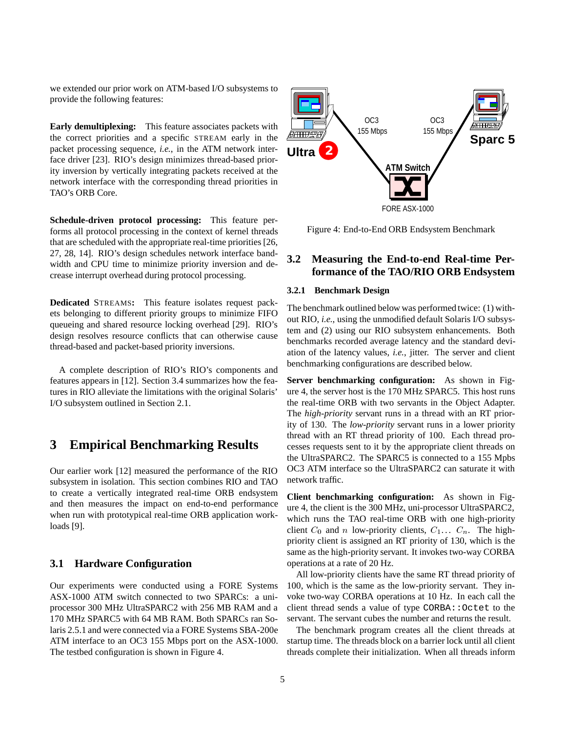we extended our prior work on ATM-based I/O subsystems to provide the following features:

**Early demultiplexing:** This feature associates packets with the correct priorities and a specific STREAM early in the packet processing sequence, *i.e.*, in the ATM network interface driver [23]. RIO's design minimizes thread-based priority inversion by vertically integrating packets received at the network interface with the corresponding thread priorities in TAO's ORB Core.

**Schedule-driven protocol processing:** This feature performs all protocol processing in the context of kernel threads that are scheduled with the appropriate real-time priorities [26, 27, 28, 14]. RIO's design schedules network interface bandwidth and CPU time to minimize priority inversion and decrease interrupt overhead during protocol processing.

**Dedicated** STREAMS**:** This feature isolates request packets belonging to different priority groups to minimize FIFO queueing and shared resource locking overhead [29]. RIO's design resolves resource conflicts that can otherwise cause thread-based and packet-based priority inversions.

A complete description of RIO's RIO's components and features appears in [12]. Section 3.4 summarizes how the features in RIO alleviate the limitations with the original Solaris' I/O subsystem outlined in Section 2.1.

## **3 Empirical Benchmarking Results**

Our earlier work [12] measured the performance of the RIO subsystem in isolation. This section combines RIO and TAO to create a vertically integrated real-time ORB endsystem and then measures the impact on end-to-end performance when run with prototypical real-time ORB application workloads [9].

#### **3.1 Hardware Configuration**

Our experiments were conducted using a FORE Systems ASX-1000 ATM switch connected to two SPARCs: a uniprocessor 300 MHz UltraSPARC2 with 256 MB RAM and a 170 MHz SPARC5 with 64 MB RAM. Both SPARCs ran Solaris 2.5.1 and were connected via a FORE Systems SBA-200e ATM interface to an OC3 155 Mbps port on the ASX-1000. The testbed configuration is shown in Figure 4.



Figure 4: End-to-End ORB Endsystem Benchmark

## **3.2 Measuring the End-to-end Real-time Performance of the TAO/RIO ORB Endsystem**

#### **3.2.1 Benchmark Design**

The benchmark outlined below was performed twice: (1) without RIO, *i.e.*, using the unmodified default Solaris I/O subsystem and (2) using our RIO subsystem enhancements. Both benchmarks recorded average latency and the standard deviation of the latency values, *i.e.*, jitter. The server and client benchmarking configurations are described below.

**Server benchmarking configuration:** As shown in Figure 4, the server host is the 170 MHz SPARC5. This host runs the real-time ORB with two servants in the Object Adapter. The *high-priority* servant runs in a thread with an RT priority of 130. The *low-priority* servant runs in a lower priority thread with an RT thread priority of 100. Each thread processes requests sent to it by the appropriate client threads on the UltraSPARC2. The SPARC5 is connected to a 155 Mpbs OC3 ATM interface so the UltraSPARC2 can saturate it with network traffic.

**Client benchmarking configuration:** As shown in Figure 4, the client is the 300 MHz, uni-processor UltraSPARC2, which runs the TAO real-time ORB with one high-priority client  $C_0$  and n low-priority clients,  $C_1 \ldots C_n$ . The highpriority client is assigned an RT priority of 130, which is the same as the high-priority servant. It invokes two-way CORBA operations at a rate of 20 Hz.

All low-priority clients have the same RT thread priority of 100, which is the same as the low-priority servant. They invoke two-way CORBA operations at 10 Hz. In each call the client thread sends a value of type CORBA:: Octet to the servant. The servant cubes the number and returns the result.

The benchmark program creates all the client threads at startup time. The threads block on a barrier lock until all client threads complete their initialization. When all threads inform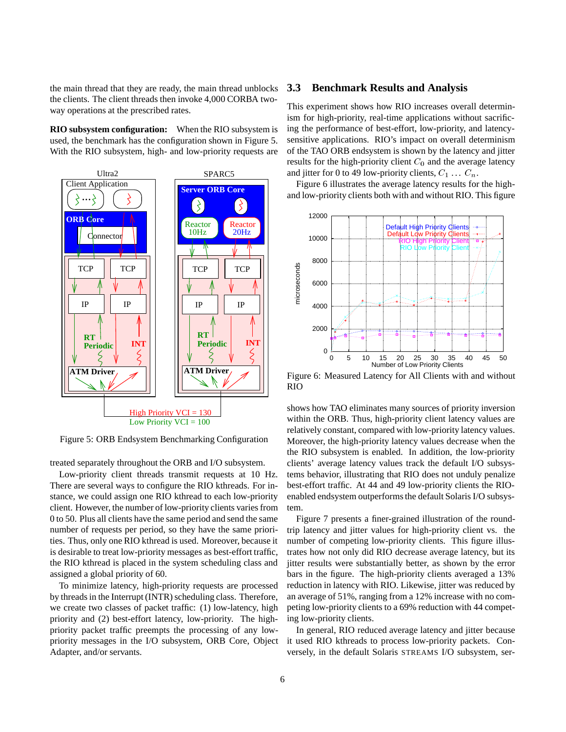the main thread that they are ready, the main thread unblocks the clients. The client threads then invoke 4,000 CORBA twoway operations at the prescribed rates.

**RIO subsystem configuration:** When the RIO subsystem is used, the benchmark has the configuration shown in Figure 5. With the RIO subsystem, high- and low-priority requests are



Figure 5: ORB Endsystem Benchmarking Configuration

treated separately throughout the ORB and I/O subsystem.

Low-priority client threads transmit requests at 10 Hz. There are several ways to configure the RIO kthreads. For instance, we could assign one RIO kthread to each low-priority client. However, the number of low-priority clients varies from 0 to 50. Plus all clients have the same period and send the same number of requests per period, so they have the same priorities. Thus, only one RIO kthread is used. Moreover, because it is desirable to treat low-priority messages as best-effort traffic, the RIO kthread is placed in the system scheduling class and assigned a global priority of 60.

To minimize latency, high-priority requests are processed by threads in the Interrupt (INTR) scheduling class. Therefore, we create two classes of packet traffic: (1) low-latency, high priority and (2) best-effort latency, low-priority. The highpriority packet traffic preempts the processing of any lowpriority messages in the I/O subsystem, ORB Core, Object Adapter, and/or servants.

#### **3.3 Benchmark Results and Analysis**

This experiment shows how RIO increases overall determinism for high-priority, real-time applications without sacrificing the performance of best-effort, low-priority, and latencysensitive applications. RIO's impact on overall determinism of the TAO ORB endsystem is shown by the latency and jitter results for the high-priority client  $C_0$  and the average latency and jitter for 0 to 49 low-priority clients,  $C_1 \ldots C_n$ .

Figure 6 illustrates the average latency results for the highand low-priority clients both with and without RIO. This figure



Figure 6: Measured Latency for All Clients with and without RIO

shows how TAO eliminates many sources of priority inversion within the ORB. Thus, high-priority client latency values are relatively constant, compared with low-priority latency values. Moreover, the high-priority latency values decrease when the the RIO subsystem is enabled. In addition, the low-priority clients' average latency values track the default I/O subsystems behavior, illustrating that RIO does not unduly penalize best-effort traffic. At 44 and 49 low-priority clients the RIOenabled endsystem outperforms the default Solaris I/O subsystem.

Figure 7 presents a finer-grained illustration of the roundtrip latency and jitter values for high-priority client vs. the number of competing low-priority clients. This figure illustrates how not only did RIO decrease average latency, but its jitter results were substantially better, as shown by the error bars in the figure. The high-priority clients averaged a 13% reduction in latency with RIO. Likewise, jitter was reduced by an average of 51%, ranging from a 12% increase with no competing low-priority clients to a 69% reduction with 44 competing low-priority clients.

In general, RIO reduced average latency and jitter because it used RIO kthreads to process low-priority packets. Conversely, in the default Solaris STREAMS I/O subsystem, ser-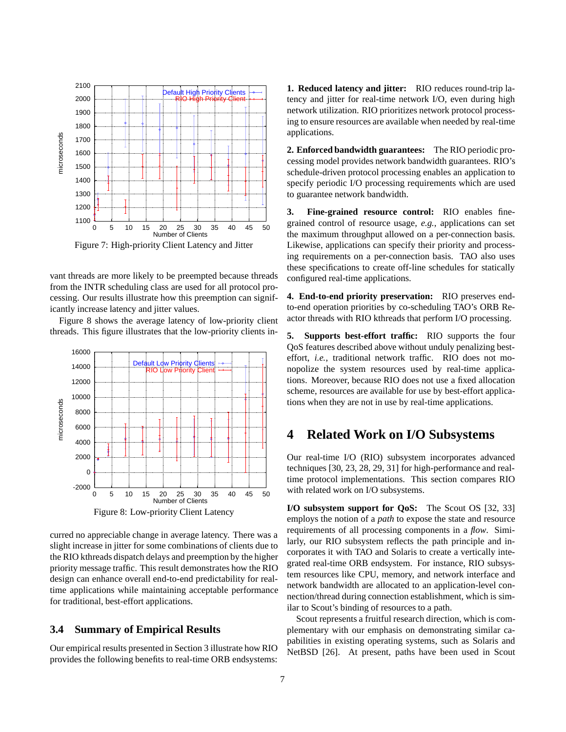

Figure 7: High-priority Client Latency and Jitter

vant threads are more likely to be preempted because threads from the INTR scheduling class are used for all protocol processing. Our results illustrate how this preemption can significantly increase latency and jitter values.

Figure 8 shows the average latency of low-priority client threads. This figure illustrates that the low-priority clients in-



curred no appreciable change in average latency. There was a slight increase in jitter for some combinations of clients due to the RIO kthreads dispatch delays and preemption by the higher priority message traffic. This result demonstrates how the RIO design can enhance overall end-to-end predictability for realtime applications while maintaining acceptable performance for traditional, best-effort applications.

### **3.4 Summary of Empirical Results**

Our empirical results presented in Section 3 illustrate how RIO provides the following benefits to real-time ORB endsystems: **1. Reduced latency and jitter:** RIO reduces round-trip latency and jitter for real-time network I/O, even during high network utilization. RIO prioritizes network protocol processing to ensure resources are available when needed by real-time applications.

**2. Enforced bandwidth guarantees:** The RIO periodic processing model provides network bandwidth guarantees. RIO's schedule-driven protocol processing enables an application to specify periodic I/O processing requirements which are used to guarantee network bandwidth.

**3. Fine-grained resource control:** RIO enables finegrained control of resource usage, *e.g.*, applications can set the maximum throughput allowed on a per-connection basis. Likewise, applications can specify their priority and processing requirements on a per-connection basis. TAO also uses these specifications to create off-line schedules for statically configured real-time applications.

**4. End-to-end priority preservation:** RIO preserves endto-end operation priorities by co-scheduling TAO's ORB Reactor threads with RIO kthreads that perform I/O processing.

**5. Supports best-effort traffic:** RIO supports the four QoS features described above without unduly penalizing besteffort, *i.e.*, traditional network traffic. RIO does not monopolize the system resources used by real-time applications. Moreover, because RIO does not use a fixed allocation scheme, resources are available for use by best-effort applications when they are not in use by real-time applications.

### **4 Related Work on I/O Subsystems**

Our real-time I/O (RIO) subsystem incorporates advanced techniques [30, 23, 28, 29, 31] for high-performance and realtime protocol implementations. This section compares RIO with related work on I/O subsystems.

**I/O subsystem support for QoS:** The Scout OS [32, 33] employs the notion of a *path* to expose the state and resource requirements of all processing components in a *flow*. Similarly, our RIO subsystem reflects the path principle and incorporates it with TAO and Solaris to create a vertically integrated real-time ORB endsystem. For instance, RIO subsystem resources like CPU, memory, and network interface and network bandwidth are allocated to an application-level connection/thread during connection establishment, which is similar to Scout's binding of resources to a path.

Scout represents a fruitful research direction, which is complementary with our emphasis on demonstrating similar capabilities in existing operating systems, such as Solaris and NetBSD [26]. At present, paths have been used in Scout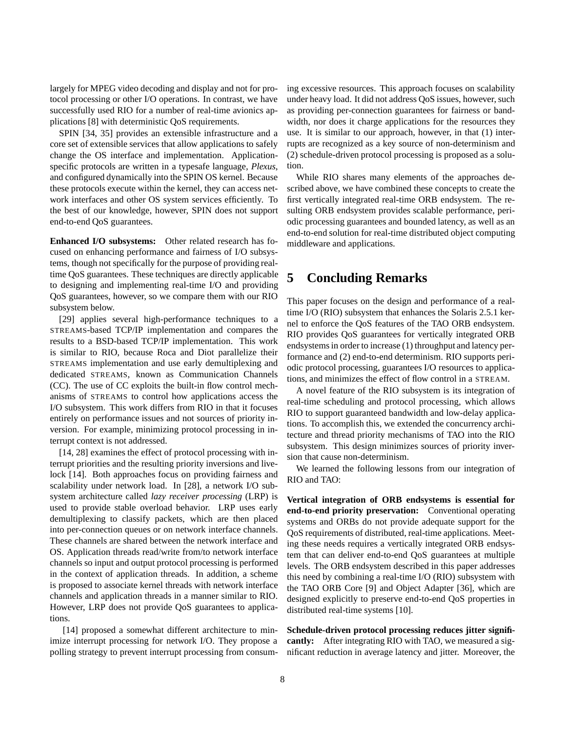largely for MPEG video decoding and display and not for protocol processing or other I/O operations. In contrast, we have successfully used RIO for a number of real-time avionics applications [8] with deterministic QoS requirements.

SPIN [34, 35] provides an extensible infrastructure and a core set of extensible services that allow applications to safely change the OS interface and implementation. Applicationspecific protocols are written in a typesafe language, *Plexus*, and configured dynamically into the SPIN OS kernel. Because these protocols execute within the kernel, they can access network interfaces and other OS system services efficiently. To the best of our knowledge, however, SPIN does not support end-to-end QoS guarantees.

**Enhanced I/O subsystems:** Other related research has focused on enhancing performance and fairness of I/O subsystems, though not specifically for the purpose of providing realtime QoS guarantees. These techniques are directly applicable to designing and implementing real-time I/O and providing QoS guarantees, however, so we compare them with our RIO subsystem below.

[29] applies several high-performance techniques to a STREAMS-based TCP/IP implementation and compares the results to a BSD-based TCP/IP implementation. This work is similar to RIO, because Roca and Diot parallelize their STREAMS implementation and use early demultiplexing and dedicated STREAMS, known as Communication Channels (CC). The use of CC exploits the built-in flow control mechanisms of STREAMS to control how applications access the I/O subsystem. This work differs from RIO in that it focuses entirely on performance issues and not sources of priority inversion. For example, minimizing protocol processing in interrupt context is not addressed.

[14, 28] examines the effect of protocol processing with interrupt priorities and the resulting priority inversions and livelock [14]. Both approaches focus on providing fairness and scalability under network load. In [28], a network I/O subsystem architecture called *lazy receiver processing* (LRP) is used to provide stable overload behavior. LRP uses early demultiplexing to classify packets, which are then placed into per-connection queues or on network interface channels. These channels are shared between the network interface and OS. Application threads read/write from/to network interface channels so input and output protocol processing is performed in the context of application threads. In addition, a scheme is proposed to associate kernel threads with network interface channels and application threads in a manner similar to RIO. However, LRP does not provide QoS guarantees to applications.

[14] proposed a somewhat different architecture to minimize interrupt processing for network I/O. They propose a polling strategy to prevent interrupt processing from consuming excessive resources. This approach focuses on scalability under heavy load. It did not address QoS issues, however, such as providing per-connection guarantees for fairness or bandwidth, nor does it charge applications for the resources they use. It is similar to our approach, however, in that (1) interrupts are recognized as a key source of non-determinism and (2) schedule-driven protocol processing is proposed as a solution.

While RIO shares many elements of the approaches described above, we have combined these concepts to create the first vertically integrated real-time ORB endsystem. The resulting ORB endsystem provides scalable performance, periodic processing guarantees and bounded latency, as well as an end-to-end solution for real-time distributed object computing middleware and applications.

# **5 Concluding Remarks**

This paper focuses on the design and performance of a realtime I/O (RIO) subsystem that enhances the Solaris 2.5.1 kernel to enforce the QoS features of the TAO ORB endsystem. RIO provides QoS guarantees for vertically integrated ORB endsystems in order to increase (1) throughput and latency performance and (2) end-to-end determinism. RIO supports periodic protocol processing, guarantees I/O resources to applications, and minimizes the effect of flow control in a STREAM.

A novel feature of the RIO subsystem is its integration of real-time scheduling and protocol processing, which allows RIO to support guaranteed bandwidth and low-delay applications. To accomplish this, we extended the concurrency architecture and thread priority mechanisms of TAO into the RIO subsystem. This design minimizes sources of priority inversion that cause non-determinism.

We learned the following lessons from our integration of RIO and TAO:

**Vertical integration of ORB endsystems is essential for end-to-end priority preservation:** Conventional operating systems and ORBs do not provide adequate support for the QoS requirements of distributed, real-time applications. Meeting these needs requires a vertically integrated ORB endsystem that can deliver end-to-end QoS guarantees at multiple levels. The ORB endsystem described in this paper addresses this need by combining a real-time I/O (RIO) subsystem with the TAO ORB Core [9] and Object Adapter [36], which are designed explicitly to preserve end-to-end QoS properties in distributed real-time systems [10].

**Schedule-driven protocol processing reduces jitter significantly:** After integrating RIO with TAO, we measured a significant reduction in average latency and jitter. Moreover, the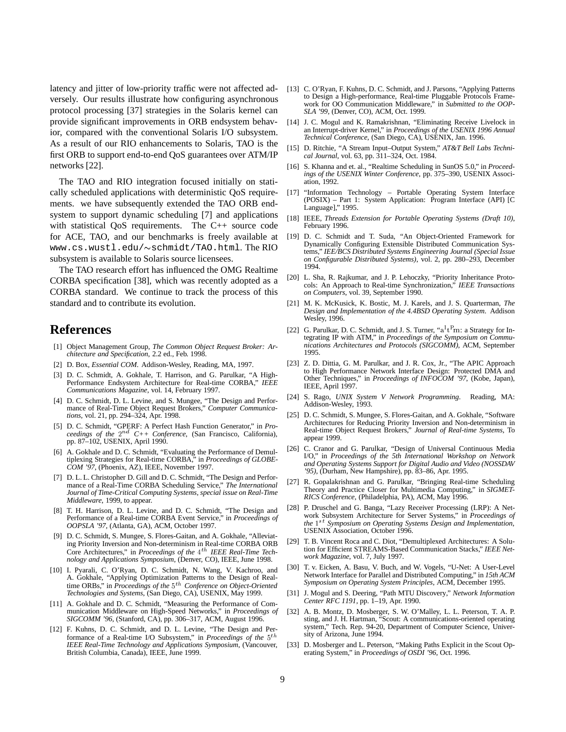latency and jitter of low-priority traffic were not affected adversely. Our results illustrate how configuring asynchronous protocol processing [37] strategies in the Solaris kernel can provide significant improvements in ORB endsystem behavior, compared with the conventional Solaris I/O subsystem. As a result of our RIO enhancements to Solaris, TAO is the first ORB to support end-to-end QoS guarantees over ATM/IP networks [22].

The TAO and RIO integration focused initially on statically scheduled applications with deterministic QoS requirements. we have subsequently extended the TAO ORB endsystem to support dynamic scheduling [7] and applications with statistical QoS requirements. The C++ source code for ACE, TAO, and our benchmarks is freely available at www.cs.wustl.edu/~schmidt/TAO.html.The RIO subsystem is available to Solaris source licensees.

The TAO research effort has influenced the OMG Realtime CORBA specification [38], which was recently adopted as a CORBA standard. We continue to track the process of this standard and to contribute its evolution.

## **References**

- [1] Object Management Group, *The Common Object Request Broker: Architecture and Specification*, 2.2 ed., Feb. 1998.
- [2] D. Box, *Essential COM*. Addison-Wesley, Reading, MA, 1997.
- [3] D. C. Schmidt, A. Gokhale, T. Harrison, and G. Parulkar, "A High-Performance Endsystem Architecture for Real-time CORBA," *IEEE Communications Magazine*, vol. 14, February 1997.
- [4] D. C. Schmidt, D. L. Levine, and S. Mungee, "The Design and Performance of Real-Time Object Request Brokers," *Computer Communications*, vol. 21, pp. 294–324, Apr. 1998.
- [5] D. C. Schmidt, "GPERF: A Perfect Hash Function Generator," in *Proceedings of the* <sup>2</sup>nd *C++ Conference*, (San Francisco, California), pp. 87–102, USENIX, April 1990.
- [6] A. Gokhale and D. C. Schmidt, "Evaluating the Performance of Demultiplexing Strategies for Real-time CORBA," in *Proceedings of GLOBE-COM '97*, (Phoenix, AZ), IEEE, November 1997.
- [7] D. L. L. Christopher D. Gill and D. C. Schmidt, "The Design and Performance of a Real-Time CORBA Scheduling Service," *The International Journal of Time-Critical Computing Systems, special issue on Real-Time Middleware*, 1999, to appear.
- [8] T. H. Harrison, D. L. Levine, and D. C. Schmidt, "The Design and Performance of a Real-time CORBA Event Service," in *Proceedings of OOPSLA '97*, (Atlanta, GA), ACM, October 1997.
- [9] D. C. Schmidt, S. Mungee, S. Flores-Gaitan, and A. Gokhale, "Alleviating Priority Inversion and Non-determinism in Real-time CORBA ORB Core Architectures," in *Proceedings of the* 4<sup>th</sup> IEEE Real-Time Tech*nology and Applications Symposium*, (Denver, CO), IEEE, June 1998.
- [10] I. Pyarali, C. O'Ryan, D. C. Schmidt, N. Wang, V. Kachroo, and A. Gokhale, "Applying Optimization Patterns to the Design of Realtime ORBs," in *Proceedings of the* <sup>5</sup>th *Conference on Object-Oriented Technologies and Systems*, (San Diego, CA), USENIX, May 1999.
- [11] A. Gokhale and D. C. Schmidt, "Measuring the Performance of Communication Middleware on High-Speed Networks," in *Proceedings of SIGCOMM '96*, (Stanford, CA), pp. 306–317, ACM, August 1996.
- [12] F. Kuhns, D. C. Schmidt, and D. L. Levine, "The Design and Performance of a Real-time I/O Subsystem," in *Proceedings of the* 5<sup>th</sup> IEEE Real-Time Technology and Applications Symposium, (Vancouver. [33] *IEEE Real-Time Technology and Applications Symposium*, (Vancouver, British Columbia, Canada), IEEE, June 1999.
- [13] C. O'Ryan, F. Kuhns, D. C. Schmidt, and J. Parsons, "Applying Patterns to Design a High-performance, Real-time Pluggable Protocols Framework for OO Communication Middleware," in *Submitted to the OOP-SLA '99*, (Denver, CO), ACM, Oct. 1999.
- [14] J. C. Mogul and K. Ramakrishnan, "Eliminating Receive Livelock in an Interrupt-driver Kernel," in *Proceedings of the USENIX 1996 Annual Technical Conference*, (San Diego, CA), USENIX, Jan. 1996.
- [15] D. Ritchie, "A Stream Input–Output System," *AT&T Bell Labs Technical Journal*, vol. 63, pp. 311–324, Oct. 1984.
- [16] S. Khanna and et. al., "Realtime Scheduling in SunOS 5.0," in *Proceedings of the USENIX Winter Conference*, pp. 375–390, USENIX Association, 1992.
- "Information Technology Portable Operating System Interface (POSIX) – Part 1: System Application: Program Interface (API) [C Language]," 1995.
- [18] IEEE, *Threads Extension for Portable Operating Systems (Draft 10)*, February 1996.
- [19] D. C. Schmidt and T. Suda, "An Object-Oriented Framework for Dynamically Configuring Extensible Distributed Communication Systems," *IEE/BCS Distributed Systems Engineering Journal (Special Issue on Configurable Distributed Systems)*, vol. 2, pp. 280–293, December 1994.
- [20] L. Sha, R. Rajkumar, and J. P. Lehoczky, "Priority Inheritance Protocols: An Approach to Real-time Synchronization," *IEEE Transactions on Computers*, vol. 39, September 1990.
- [21] M. K. McKusick, K. Bostic, M. J. Karels, and J. S. Quarterman, *The Design and Implementation of the 4.4BSD Operating System*. Addison Wesley, 1996.
- [22] G. Parulkar, D. C. Schmidt, and J. S. Turner, "a<sup>I</sup>t<sup>P</sup>m: a Strategy for Integrating IP with ATM," in *Proceedings of the Symposium on Communications Architectures and Protocols (SIGCOMM)*, ACM, September 1995.
- [23] Z. D. Dittia, G. M. Parulkar, and J. R. Cox, Jr., "The APIC Approach to High Performance Network Interface Design: Protected DMA and Other Techniques," in *Proceedings of INFOCOM '97*, (Kobe, Japan), IEEE, April 1997.
- [24] S. Rago, *UNIX System V Network Programming*. Reading, MA: Addison-Wesley, 1993.
- [25] D. C. Schmidt, S. Mungee, S. Flores-Gaitan, and A. Gokhale, "Software Architectures for Reducing Priority Inversion and Non-determinism in Real-time Object Request Brokers," *Journal of Real-time Systems*, To appear 1999.
- [26] C. Cranor and G. Parulkar, "Design of Universal Continuous Media I/O," in *Proceedings of the 5th International Workshop on Network and Operating Systems Support for Digital Audio and Video (NOSSDAV '95)*, (Durham, New Hampshire), pp. 83–86, Apr. 1995.
- [27] R. Gopalakrishnan and G. Parulkar, "Bringing Real-time Scheduling Theory and Practice Closer for Multimedia Computing," in *SIGMET-RICS Conference*, (Philadelphia, PA), ACM, May 1996.
- [28] P. Druschel and G. Banga, "Lazy Receiver Processing (LRP): A Network Subsystem Architecture for Server Systems," in *Proceedings of the* <sup>1</sup>st *Symposium on Operating Systems Design and Implementation*, USENIX Association, October 1996.
- [29] T. B. Vincent Roca and C. Diot, "Demultiplexed Architectures: A Solution for Efficient STREAMS-Based Communication Stacks," *IEEE Network Magazine*, vol. 7, July 1997.
- [30] T. v. Eicken, A. Basu, V. Buch, and W. Vogels, "U-Net: A User-Level Network Interface for Parallel and Distributed Computing," in *15th ACM Symposium on Operating System Principles*, ACM, December 1995.
- [31] J. Mogul and S. Deering, "Path MTU Discovery," *Network Information Center RFC 1191*, pp. 1–19, Apr. 1990.
- [32] A. B. Montz, D. Mosberger, S. W. O'Malley, L. L. Peterson, T. A. P. sting, and J. H. Hartman, "Scout: A communications-oriented operating system," Tech. Rep. 94-20, Department of Computer Science, University of Arizona, June 1994.
- D. Mosberger and L. Peterson, "Making Paths Explicit in the Scout Operating System," in *Proceedings of OSDI '96*, Oct. 1996.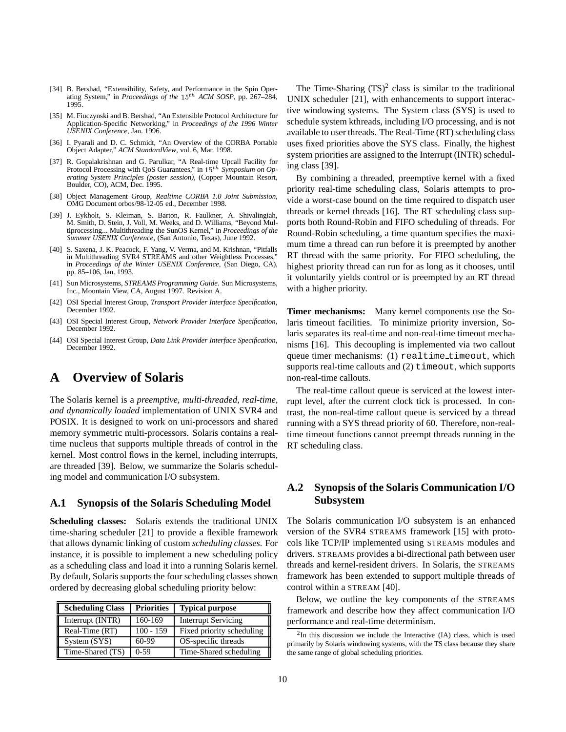- [34] B. Bershad, "Extensibility, Safety, and Performance in the Spin Operating System," in *Proceedings of the* <sup>15</sup>th *ACM SOSP*, pp. 267–284, 1995.
- [35] M. Fiuczynski and B. Bershad, "An Extensible Protocol Architecture for Application-Specific Networking," in *Proceedings of the 1996 Winter USENIX Conference*, Jan. 1996.
- [36] I. Pyarali and D. C. Schmidt, "An Overview of the CORBA Portable Object Adapter," *ACM StandardView*, vol. 6, Mar. 1998.
- [37] R. Gopalakrishnan and G. Parulkar, "A Real-time Upcall Facility for Protocol Processing with QoS Guarantees," in 15<sup>th</sup> Symposium on Op*erating System Principles (poster session)*, (Copper Mountain Resort, Boulder, CO), ACM, Dec. 1995.
- [38] Object Management Group, *Realtime CORBA 1.0 Joint Submission*, OMG Document orbos/98-12-05 ed., December 1998.
- [39] J. Eykholt, S. Kleiman, S. Barton, R. Faulkner, A. Shivalingiah, M. Smith, D. Stein, J. Voll, M. Weeks, and D. Williams, "Beyond Multiprocessing... Multithreading the SunOS Kernel," in *Proceedings of the Summer USENIX Conference*, (San Antonio, Texas), June 1992.
- [40] S. Saxena, J. K. Peacock, F. Yang, V. Verma, and M. Krishnan, "Pitfalls in Multithreading SVR4 STREAMS and other Weightless Processes," in *Proceedings of the Winter USENIX Conference*, (San Diego, CA), pp. 85–106, Jan. 1993.
- [41] Sun Microsystems, *STREAMS Programming Guide*. Sun Microsystems, Inc., Mountain View, CA, August 1997. Revision A.
- [42] OSI Special Interest Group, *Transport Provider Interface Specification*, December 1992.
- [43] OSI Special Interest Group, *Network Provider Interface Specification*, December 1992.
- [44] OSI Special Interest Group, *Data Link Provider Interface Specification*, December 1992.

# **A Overview of Solaris**

The Solaris kernel is a *preemptive, multi-threaded, real-time, and dynamically loaded* implementation of UNIX SVR4 and POSIX. It is designed to work on uni-processors and shared memory symmetric multi-processors. Solaris contains a realtime nucleus that supports multiple threads of control in the kernel. Most control flows in the kernel, including interrupts, are threaded [39]. Below, we summarize the Solaris scheduling model and communication I/O subsystem.

#### **A.1 Synopsis of the Solaris Scheduling Model**

**Scheduling classes:** Solaris extends the traditional UNIX time-sharing scheduler [21] to provide a flexible framework that allows dynamic linking of custom *scheduling classes*. For instance, it is possible to implement a new scheduling policy as a scheduling class and load it into a running Solaris kernel. By default, Solaris supports the four scheduling classes shown ordered by decreasing global scheduling priority below:

| <b>Scheduling Class</b> | <b>Priorities</b> | <b>Typical purpose</b>     |
|-------------------------|-------------------|----------------------------|
| Interrupt (INTR)        | 160-169           | <b>Interrupt Servicing</b> |
| Real-Time (RT)          | $100 - 159$       | Fixed priority scheduling  |
| System (SYS)            | $60-99$           | OS-specific threads        |
| Time-Shared (TS)        | $0-59$            | Time-Shared scheduling     |

The Time-Sharing  $(TS)^2$  class is similar to the traditional UNIX scheduler [21], with enhancements to support interactive windowing systems. The System class (SYS) is used to schedule system kthreads, including I/O processing, and is not available to user threads. The Real-Time (RT) scheduling class uses fixed priorities above the SYS class. Finally, the highest system priorities are assigned to the Interrupt (INTR) scheduling class [39].

By combining a threaded, preemptive kernel with a fixed priority real-time scheduling class, Solaris attempts to provide a worst-case bound on the time required to dispatch user threads or kernel threads [16]. The RT scheduling class supports both Round-Robin and FIFO scheduling of threads. For Round-Robin scheduling, a time quantum specifies the maximum time a thread can run before it is preempted by another RT thread with the same priority. For FIFO scheduling, the highest priority thread can run for as long as it chooses, until it voluntarily yields control or is preempted by an RT thread with a higher priority.

**Timer mechanisms:** Many kernel components use the Solaris timeout facilities. To minimize priority inversion, Solaris separates its real-time and non-real-time timeout mechanisms [16]. This decoupling is implemented via two callout queue timer mechanisms: (1) realtime timeout, which supports real-time callouts and  $(2)$  timeout, which supports non-real-time callouts.

The real-time callout queue is serviced at the lowest interrupt level, after the current clock tick is processed. In contrast, the non-real-time callout queue is serviced by a thread running with a SYS thread priority of 60. Therefore, non-realtime timeout functions cannot preempt threads running in the RT scheduling class.

### **A.2 Synopsis of the Solaris Communication I/O Subsystem**

The Solaris communication I/O subsystem is an enhanced version of the SVR4 STREAMS framework [15] with protocols like TCP/IP implemented using STREAMS modules and drivers. STREAMS provides a bi-directional path between user threads and kernel-resident drivers. In Solaris, the STREAMS framework has been extended to support multiple threads of control within a STREAM [40].

Below, we outline the key components of the STREAMS framework and describe how they affect communication I/O performance and real-time determinism.

 $2$ In this discussion we include the Interactive (IA) class, which is used primarily by Solaris windowing systems, with the TS class because they share the same range of global scheduling priorities.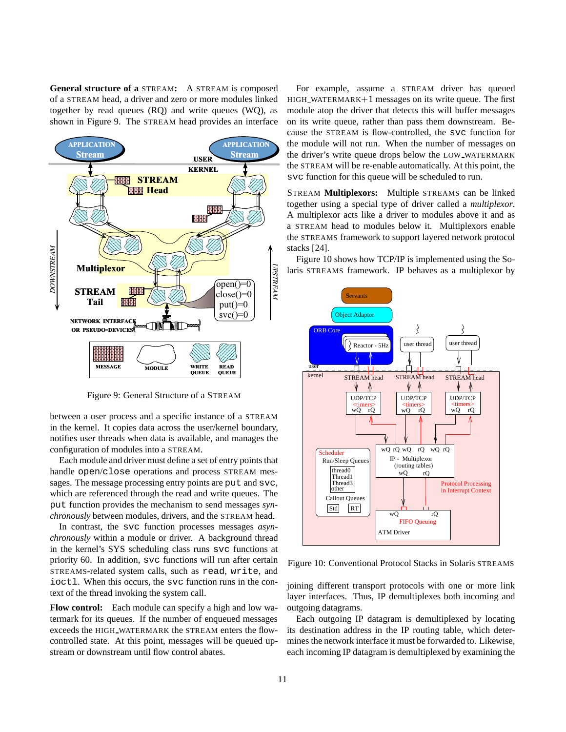**General structure of a** STREAM**:** A STREAM is composed of a STREAM head, a driver and zero or more modules linked together by read queues (RQ) and write queues (WQ), as shown in Figure 9. The STREAM head provides an interface



Figure 9: General Structure of a STREAM

between a user process and a specific instance of a STREAM in the kernel. It copies data across the user/kernel boundary, notifies user threads when data is available, and manages the configuration of modules into a STREAM.

Each module and driver must define a set of entry points that handle open/close operations and process STREAM messages. The message processing entry points are put and svc, which are referenced through the read and write queues. The put function provides the mechanism to send messages *synchronously* between modules, drivers, and the STREAM head.

In contrast, the svc function processes messages *asynchronously* within a module or driver. A background thread in the kernel's SYS scheduling class runs svc functions at priority 60. In addition, svc functions will run after certain STREAMS-related system calls, such as read, write, and ioctl. When this occurs, the svc function runs in the context of the thread invoking the system call.

**Flow control:** Each module can specify a high and low watermark for its queues. If the number of enqueued messages exceeds the HIGH WATERMARK the STREAM enters the flowcontrolled state. At this point, messages will be queued upstream or downstream until flow control abates.

For example, assume a STREAM driver has queued  $HIGH_WATERMARK+1$  messages on its write queue. The first module atop the driver that detects this will buffer messages on its write queue, rather than pass them downstream. Because the STREAM is flow-controlled, the svc function for the module will not run. When the number of messages on the driver's write queue drops below the LOW WATERMARK the STREAM will be re-enable automatically. At this point, the svc function for this queue will be scheduled to run.

STREAM **Multiplexors:** Multiple STREAMS can be linked together using a special type of driver called a *multiplexor*. A multiplexor acts like a driver to modules above it and as a STREAM head to modules below it. Multiplexors enable the STREAMS framework to support layered network protocol stacks [24].

Figure 10 shows how TCP/IP is implemented using the Solaris STREAMS framework. IP behaves as a multiplexor by



Figure 10: Conventional Protocol Stacks in Solaris STREAMS

joining different transport protocols with one or more link layer interfaces. Thus, IP demultiplexes both incoming and outgoing datagrams.

Each outgoing IP datagram is demultiplexed by locating its destination address in the IP routing table, which determines the network interface it must be forwarded to. Likewise, each incoming IP datagram is demultiplexed by examining the